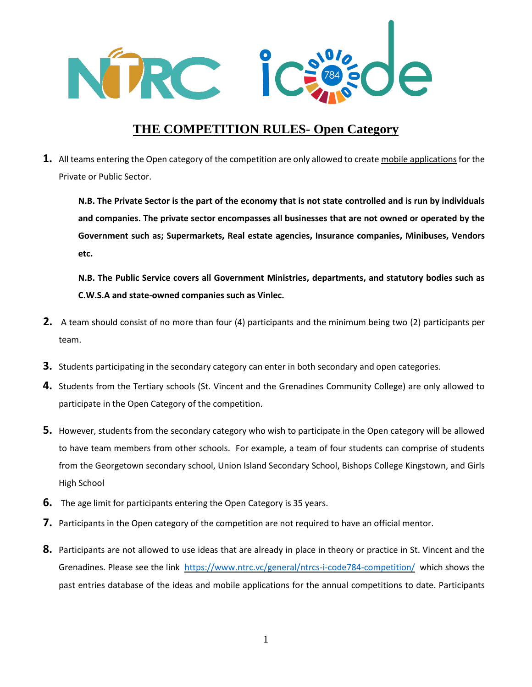

## **THE COMPETITION RULES- Open Category**

**1.** All teams entering the Open category of the competition are only allowed to create mobile applications for the Private or Public Sector.

**N.B. The Private Sector is the part of the economy that is not state controlled and is run by individuals and companies. The private sector encompasses all businesses that are not owned or operated by the Government such as; Supermarkets, Real estate agencies, Insurance companies, Minibuses, Vendors etc.**

**N.B. The Public Service covers all Government Ministries, departments, and statutory bodies such as C.W.S.A and state-owned companies such as Vinlec.** 

- **2.** A team should consist of no more than four (4) participants and the minimum being two (2) participants per team.
- **3.** Students participating in the secondary category can enter in both secondary and open categories.
- **4.** Students from the Tertiary schools (St. Vincent and the Grenadines Community College) are only allowed to participate in the Open Category of the competition.
- **5.** However, students from the secondary category who wish to participate in the Open category will be allowed to have team members from other schools. For example, a team of four students can comprise of students from the Georgetown secondary school, Union Island Secondary School, Bishops College Kingstown, and Girls High School
- **6.** The age limit for participants entering the Open Category is 35 years.
- **7.** Participants in the Open category of the competition are not required to have an official mentor.
- **8.** Participants are not allowed to use ideas that are already in place in theory or practice in St. Vincent and the Grenadines. Please see the link <https://www.ntrc.vc/general/ntrcs-i-code784-competition/> which shows the past entries database of the ideas and mobile applications for the annual competitions to date. Participants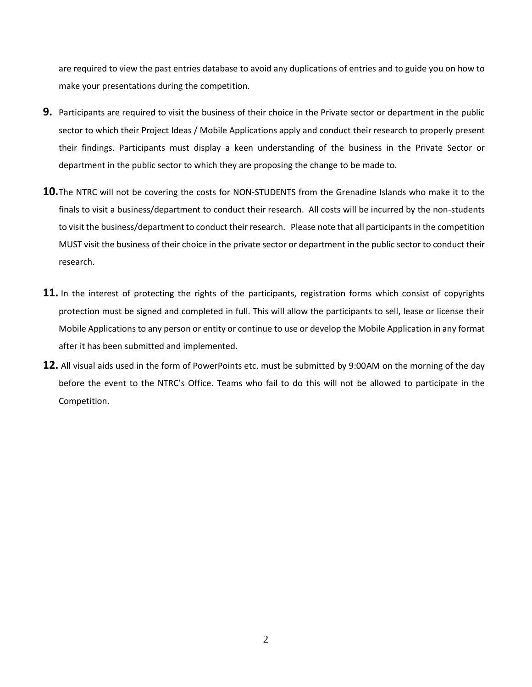are required to view the past entries database to avoid any duplications of entries and to guide you on how to make your presentations during the competition.

- **9.** Participants are required to visit the business of their choice in the Private sector or department in the public sector to which their Project Ideas / Mobile Applications apply and conduct their research to properly present their findings. Participants must display a keen understanding of the business in the Private Sector or department in the public sector to which they are proposing the change to be made to.
- **10.**The NTRC will not be covering the costs for NON-STUDENTS from the Grenadine Islands who make it to the finals to visit a business/department to conduct their research. All costs will be incurred by the non-students to visit the business/department to conduct their research. Please note that all participants in the competition MUST visit the business of their choice in the private sector or department in the public sector to conduct their research.
- **11.** In the interest of protecting the rights of the participants, registration forms which consist of copyrights protection must be signed and completed in full. This will allow the participants to sell, lease or license their Mobile Applications to any person or entity or continue to use or develop the Mobile Application in any format after it has been submitted and implemented.
- **12.** All visual aids used in the form of PowerPoints etc. must be submitted by 9:00AM on the morning of the day before the event to the NTRC's Office. Teams who fail to do this will not be allowed to participate in the Competition.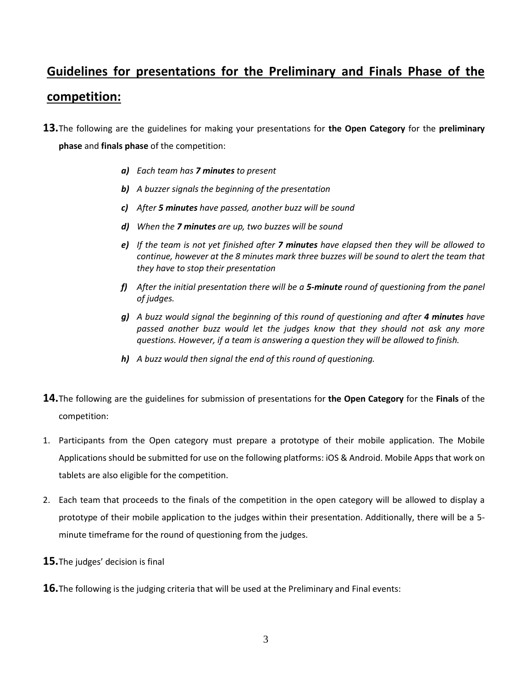## **Guidelines for presentations for the Preliminary and Finals Phase of the competition:**

- **13.**The following are the guidelines for making your presentations for **the Open Category** for the **preliminary phase** and **finals phase** of the competition:
	- *a) Each team has 7 minutes to present*
	- *b) A buzzer signals the beginning of the presentation*
	- *c) After 5 minutes have passed, another buzz will be sound*
	- *d) When the 7 minutes are up, two buzzes will be sound*
	- *e) If the team is not yet finished after 7 minutes have elapsed then they will be allowed to continue, however at the 8 minutes mark three buzzes will be sound to alert the team that they have to stop their presentation*
	- *f) After the initial presentation there will be a 5-minute round of questioning from the panel of judges.*
	- *g) A buzz would signal the beginning of this round of questioning and after 4 minutes have passed another buzz would let the judges know that they should not ask any more questions. However, if a team is answering a question they will be allowed to finish.*
	- *h) A buzz would then signal the end of this round of questioning.*
- **14.**The following are the guidelines for submission of presentations for **the Open Category** for the **Finals** of the competition:
- 1. Participants from the Open category must prepare a prototype of their mobile application. The Mobile Applications should be submitted for use on the following platforms: iOS & Android. Mobile Apps that work on tablets are also eligible for the competition.
- 2. Each team that proceeds to the finals of the competition in the open category will be allowed to display a prototype of their mobile application to the judges within their presentation. Additionally, there will be a 5 minute timeframe for the round of questioning from the judges.
- **15.**The judges' decision is final
- **16.**The following is the judging criteria that will be used at the Preliminary and Final events: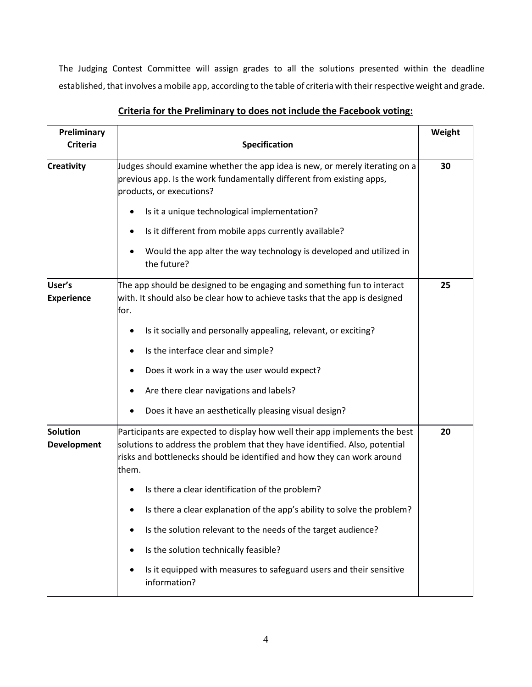The Judging Contest Committee will assign grades to all the solutions presented within the deadline established, that involves a mobile app, according to the table of criteria with their respective weight and grade.

| Preliminary<br><b>Criteria</b>                                                                                                                                                                                                                                                   | Specification                                                                                                                                                                    |    |  |  |
|----------------------------------------------------------------------------------------------------------------------------------------------------------------------------------------------------------------------------------------------------------------------------------|----------------------------------------------------------------------------------------------------------------------------------------------------------------------------------|----|--|--|
| <b>Creativity</b>                                                                                                                                                                                                                                                                | Judges should examine whether the app idea is new, or merely iterating on a<br>previous app. Is the work fundamentally different from existing apps,<br>products, or executions? |    |  |  |
|                                                                                                                                                                                                                                                                                  | Is it a unique technological implementation?                                                                                                                                     |    |  |  |
|                                                                                                                                                                                                                                                                                  | Is it different from mobile apps currently available?<br>٠                                                                                                                       |    |  |  |
|                                                                                                                                                                                                                                                                                  | Would the app alter the way technology is developed and utilized in<br>the future?                                                                                               |    |  |  |
| User's<br><b>Experience</b>                                                                                                                                                                                                                                                      | The app should be designed to be engaging and something fun to interact<br>with. It should also be clear how to achieve tasks that the app is designed<br>for.                   | 25 |  |  |
|                                                                                                                                                                                                                                                                                  | Is it socially and personally appealing, relevant, or exciting?                                                                                                                  |    |  |  |
|                                                                                                                                                                                                                                                                                  | Is the interface clear and simple?<br>٠                                                                                                                                          |    |  |  |
|                                                                                                                                                                                                                                                                                  | Does it work in a way the user would expect?                                                                                                                                     |    |  |  |
|                                                                                                                                                                                                                                                                                  | Are there clear navigations and labels?                                                                                                                                          |    |  |  |
|                                                                                                                                                                                                                                                                                  | Does it have an aesthetically pleasing visual design?                                                                                                                            |    |  |  |
| Solution<br>Participants are expected to display how well their app implements the best<br>solutions to address the problem that they have identified. Also, potential<br><b>Development</b><br>risks and bottlenecks should be identified and how they can work around<br>them. |                                                                                                                                                                                  | 20 |  |  |
|                                                                                                                                                                                                                                                                                  | Is there a clear identification of the problem?                                                                                                                                  |    |  |  |
|                                                                                                                                                                                                                                                                                  | Is there a clear explanation of the app's ability to solve the problem?                                                                                                          |    |  |  |
|                                                                                                                                                                                                                                                                                  | Is the solution relevant to the needs of the target audience?                                                                                                                    |    |  |  |
|                                                                                                                                                                                                                                                                                  | Is the solution technically feasible?<br>٠                                                                                                                                       |    |  |  |
|                                                                                                                                                                                                                                                                                  | Is it equipped with measures to safeguard users and their sensitive<br>information?                                                                                              |    |  |  |

## **Criteria for the Preliminary to does not include the Facebook voting:**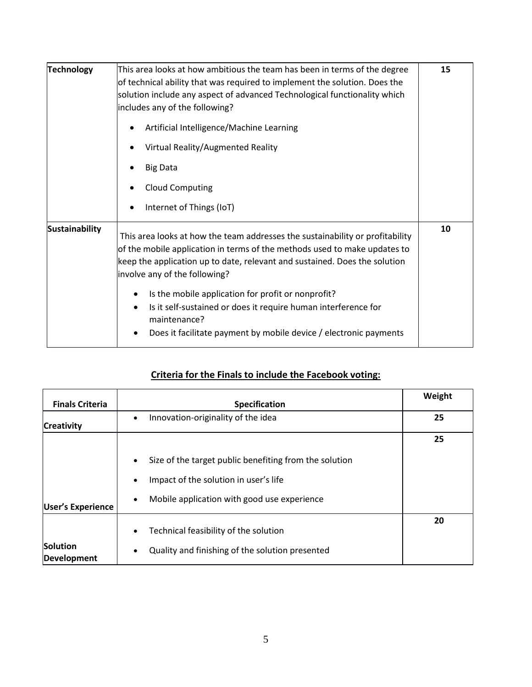| <b>Technology</b>     | This area looks at how ambitious the team has been in terms of the degree<br>of technical ability that was required to implement the solution. Does the<br>solution include any aspect of advanced Technological functionality which<br>includes any of the following?    |  |  |
|-----------------------|---------------------------------------------------------------------------------------------------------------------------------------------------------------------------------------------------------------------------------------------------------------------------|--|--|
|                       | Artificial Intelligence/Machine Learning<br>Virtual Reality/Augmented Reality                                                                                                                                                                                             |  |  |
|                       | <b>Big Data</b><br><b>Cloud Computing</b><br>Internet of Things (IoT)                                                                                                                                                                                                     |  |  |
| <b>Sustainability</b> | This area looks at how the team addresses the sustainability or profitability<br>of the mobile application in terms of the methods used to make updates to<br>keep the application up to date, relevant and sustained. Does the solution<br>involve any of the following? |  |  |
|                       | Is the mobile application for profit or nonprofit?<br>Is it self-sustained or does it require human interference for<br>maintenance?<br>Does it facilitate payment by mobile device / electronic payments                                                                 |  |  |

## **Criteria for the Finals to include the Facebook voting:**

| <b>Finals Criteria</b>   | Specification                                                       | Weight |
|--------------------------|---------------------------------------------------------------------|--------|
| <b>Creativity</b>        | Innovation-originality of the idea<br>$\bullet$                     | 25     |
|                          |                                                                     | 25     |
|                          | Size of the target public benefiting from the solution<br>$\bullet$ |        |
|                          | Impact of the solution in user's life<br>$\bullet$                  |        |
| <b>User's Experience</b> | Mobile application with good use experience<br>$\bullet$            |        |
|                          | Technical feasibility of the solution<br>$\bullet$                  | 20     |
| Solution<br>Development  | Quality and finishing of the solution presented<br>$\bullet$        |        |